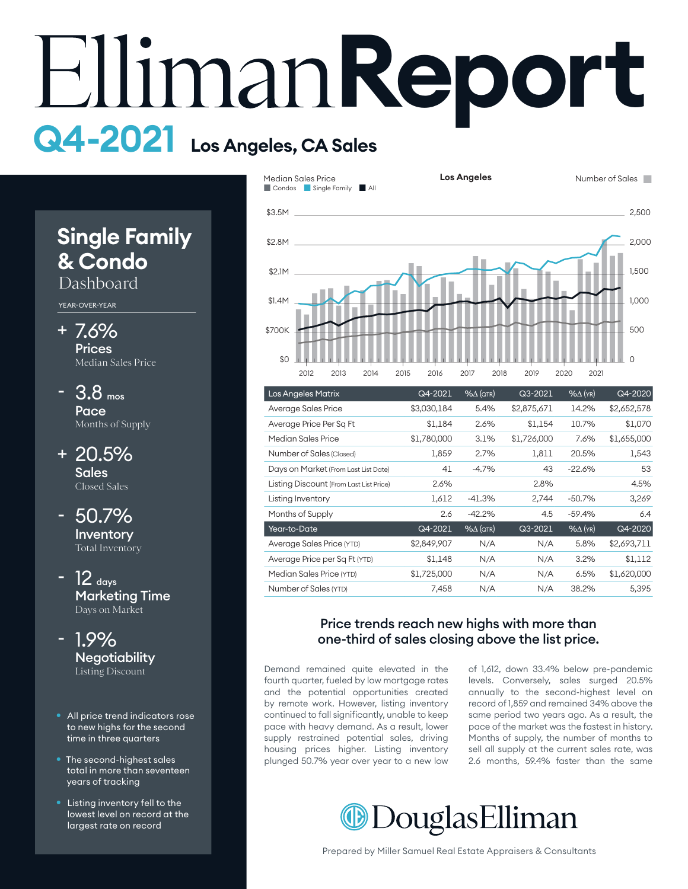# **Report Q4-2021 Los Angeles, CA Sales**

# **Single Family & Condo**

Dashboard

YEAR-OVER-YEAR

- 7.6% + **Prices** Median Sales Price
- 3.8 mos Pace Months of Supply -
- 20.5% + Sales Closed Sales
- 50.7% Inventory Total Inventory -
- $12$  days Marketing Time Days on Market
- 1.9% **Negotiability** Listing Discount -
- All price trend indicators rose to new highs for the second time in three quarters
- The second-highest sales total in more than seventeen years of tracking
- Listing inventory fell to the lowest level on record at the largest rate on record



| <b>Los Angeles Matrix</b>               | Q4-2021     | $% \triangle (QTR)$ | Q3-2021     | $%$ $\Delta$ (YR) | Q4-2020     |
|-----------------------------------------|-------------|---------------------|-------------|-------------------|-------------|
| Average Sales Price                     | \$3,030,184 | 5.4%                | \$2,875,671 | 14.2%             | \$2,652,578 |
| Average Price Per Sq Ft                 | \$1,184     | 2.6%                | \$1,154     | 10.7%             | \$1,070     |
| Median Sales Price                      | \$1,780,000 | 3.1%                | \$1,726,000 | 7.6%              | \$1,655,000 |
| Number of Sales (Closed)                | 1,859       | 2.7%                | 1,811       | 20.5%             | 1,543       |
| Days on Market (From Last List Date)    | 41          | $-4.7%$             | 43          | $-22.6%$          | 53          |
| Listing Discount (From Last List Price) | 2.6%        |                     | 2.8%        |                   | 4.5%        |
| Listing Inventory                       | 1,612       | -41.3%              | 2,744       | $-50.7%$          | 3,269       |
| Months of Supply                        | 2.6         | $-42.2%$            | 4.5         | $-59.4%$          | 6.4         |
| Year-to-Date                            | Q4-2021     | $% \triangle (QTR)$ | Q3-2021     | $%$ $\Delta$ (YR) | Q4-2020     |
| Average Sales Price (YTD)               | \$2,849,907 | N/A                 | N/A         | 5.8%              | \$2,693,711 |
| Average Price per Sq Ft (YTD)           | \$1,148     | N/A                 | N/A         | 3.2%              | \$1,112     |
| Median Sales Price (YTD)                | \$1,725,000 | N/A                 | N/A         | 6.5%              | \$1,620,000 |
| Number of Sales (YTD)                   | 7,458       | N/A                 | N/A         | 38.2%             | 5,395       |

#### Price trends reach new highs with more than one-third of sales closing above the list price.

Demand remained quite elevated in the fourth quarter, fueled by low mortgage rates and the potential opportunities created by remote work. However, listing inventory continued to fall significantly, unable to keep pace with heavy demand. As a result, lower supply restrained potential sales, driving housing prices higher. Listing inventory plunged 50.7% year over year to a new low

of 1,612, down 33.4% below pre-pandemic levels. Conversely, sales surged 20.5% annually to the second-highest level on record of 1,859 and remained 34% above the same period two years ago. As a result, the pace of the market was the fastest in history. Months of supply, the number of months to sell all supply at the current sales rate, was 2.6 months, 59.4% faster than the same

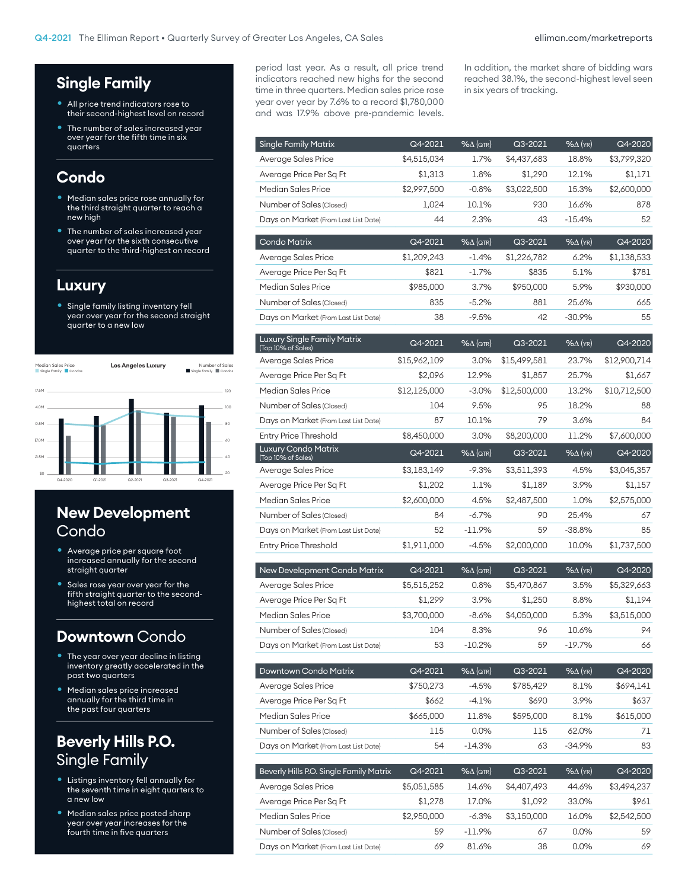# **Single Family**

- All price trend indicators rose to their second-highest level on record
- The number of sales increased year over year for the fifth time in six quarters

## **Condo**

- Median sales price rose annually for the third straight quarter to reach a new high
- The number of sales increased year over year for the sixth consecutive quarter to the third-highest on record

#### **Luxury**

• Single family listing inventory fell year over year for the second straight quarter to a new low



# **New Development Condo**

- Average price per square foot increased annually for the second straight quarter
- Sales rose year over year for the fifth straight quarter to the secondhighest total on record

#### **Downtown** Condo

- The year over year decline in listing inventory greatly accelerated in the past two quarters
- Median sales price increased annually for the third time in the past four quarters

# **Beverly Hills P.O.**  Single Family

- Listings inventory fell annually for the seventh time in eight quarters to a new low
- Median sales price posted sharp year over year increases for the fourth time in five quarters

period last year. As a result, all price trend indicators reached new highs for the second time in three quarters. Median sales price rose year over year by 7.6% to a record \$1,780,000 and was 17.9% above pre-pandemic levels. In addition, the market share of bidding wars reached 38.1%, the second-highest level seen in six years of tracking.

| Single Family Matrix                                     | Q4-2021                | $%$ $\Delta$ (QTR)                | Q3-2021                | %∆ (yr)                  | Q4-2020                |
|----------------------------------------------------------|------------------------|-----------------------------------|------------------------|--------------------------|------------------------|
| Average Sales Price                                      | \$4,515,034            | 1.7%                              | \$4,437,683            | 18.8%                    | \$3,799,320            |
| Average Price Per Sq Ft                                  | \$1,313                | 1.8%                              | \$1,290                | 12.1%                    | \$1,171                |
| <b>Median Sales Price</b>                                | \$2,997,500            | $-0.8%$                           | \$3,022,500            | 15.3%                    | \$2,600,000            |
| Number of Sales (Closed)                                 | 1,024                  | 10.1%                             | 930                    | 16.6%                    | 878                    |
| Days on Market (From Last List Date)                     | 44                     | 2.3%                              | 43                     | $-15.4%$                 | 52                     |
| <b>Condo Matrix</b>                                      | Q4-2021                | $\frac{96\Delta}{\sqrt{1}}$ (QTR) | Q3-2021                | %∆ (yr)                  | Q4-2020                |
| <b>Average Sales Price</b>                               | \$1,209,243            | $-1.4%$                           | \$1,226,782            | 6.2%                     | \$1,138,533            |
| Average Price Per Sq Ft                                  | \$821                  | $-1.7%$                           | \$835                  | 5.1%                     | \$781                  |
| Median Sales Price                                       | \$985,000              | 3.7%                              | \$950,000              | 5.9%                     | \$930,000              |
| Number of Sales (Closed)                                 | 835                    | $-5.2%$                           | 881                    | 25.6%                    | 665                    |
| Days on Market (From Last List Date)                     | 38                     | $-9.5%$                           | 42                     | $-30.9%$                 | 55                     |
| <b>Luxury Single Family Matrix</b><br>(Top 10% of Sales) | Q4-2021                | $% \triangle (QTR)$               | Q3-2021                | %∆ (yr)                  | Q4-2020                |
| Average Sales Price                                      | \$15,962,109           | 3.0%                              | \$15,499,581           | 23.7%                    | \$12,900,714           |
| Average Price Per Sq Ft                                  | \$2,096                | 12.9%                             | \$1,857                | 25.7%                    | \$1,667                |
| Median Sales Price                                       | \$12,125,000           | $-3.0\%$                          | \$12,500,000           | 13.2%                    | \$10,712,500           |
| Number of Sales (Closed)                                 | 104                    | 9.5%                              | 95                     | 18.2%                    | 88                     |
| Days on Market (From Last List Date)                     | 87                     | 10.1%                             | 79                     | 3.6%                     | 84                     |
| <b>Entry Price Threshold</b>                             | \$8,450,000            | 3.0%                              | \$8,200,000            | 11.2%                    | \$7,600,000            |
| Luxury Condo Matrix<br>(Top 10% of Sales)                | Q4-2021                | $%$ $\Delta$ (QTR)                | Q3-2021                | %∆ (yr)                  | Q4-2020                |
| Average Sales Price                                      | \$3,183,149            | $-9.3%$                           | \$3,511,393            | 4.5%                     | \$3,045,357            |
| Average Price Per Sq Ft                                  | \$1,202                | 1.1%                              | \$1,189                | 3.9%                     | \$1,157                |
| Median Sales Price                                       | \$2,600,000            | 4.5%                              | \$2,487,500            | 1.0%                     | \$2,575,000            |
| Number of Sales (Closed)                                 | 84                     | $-6.7%$                           | 90                     | 25.4%                    | 67                     |
| Days on Market (From Last List Date)                     | 52                     | $-11.9%$                          | 59                     | $-38.8%$                 | 85                     |
| <b>Entry Price Threshold</b>                             | \$1,911,000            | $-4.5\%$                          | \$2,000,000            | 10.0%                    | \$1,737,500            |
|                                                          |                        |                                   |                        |                          |                        |
| New Development Condo Matrix                             | Q4-2021                | $%$ $\Delta$ (QTR)                | Q3-2021                | %∆ (yr)                  | Q4-2020                |
| Average Sales Price                                      | \$5,515,252            | 0.8%                              | \$5,470,867            | 3.5%                     | \$5,329,663            |
| Average Price Per Sq Ft                                  | \$1,299                | 3.9%                              | \$1,250                | 8.8%                     | \$1,194                |
| Median Sales Price                                       | \$3,700,000            | $-8.6%$                           | \$4,050,000            | 5.3%                     | \$3,515,000            |
| Number of Sales (Closed)                                 | 104                    | 8.3%                              | 96                     | 10.6%                    | 94                     |
| Days on Market (From Last List Date)                     | 53                     | $-10.2\%$                         | 59                     | $-19.7\%$                | 66                     |
| Downtown Condo Matrix                                    | Q4-2021                | $% \triangle (QTR)$               | Q3-2021                | $% \Delta$ (YR)          | Q4-2020                |
| Average Sales Price                                      | \$750,273              | $-4.5%$                           | \$785,429              | 8.1%                     | \$694,141              |
| Average Price Per Sq Ft                                  | \$662                  | -4.1%                             | \$690                  | 3.9%                     | \$637                  |
| Median Sales Price                                       | \$665,000              | 11.8%                             | \$595,000              | 8.1%                     | \$615,000              |
| Number of Sales (Closed)                                 | 115                    | 0.0%                              | 115                    | 62.0%                    | 71                     |
| Days on Market (From Last List Date)                     | 54                     | $-14.3%$                          | 63                     | $-34.9%$                 | 83                     |
| Beverly Hills P.O. Single Family Matrix                  |                        | $% \triangle (QTR)$               |                        |                          |                        |
| Average Sales Price                                      | Q4-2021                | 14.6%                             | Q3-2021<br>\$4,407,493 | $% \Delta$ (YR)<br>44.6% | Q4-2020<br>\$3,494,237 |
| Average Price Per Sq Ft                                  | \$5,051,585<br>\$1,278 | 17.0%                             | \$1,092                | 33.0%                    | \$961                  |
| Median Sales Price                                       | \$2,950,000            | -6.3%                             | \$3,150,000            | 16.0%                    | \$2,542,500            |
| Number of Sales (Closed)                                 | 59                     | $-11.9\%$                         | 67                     | 0.0%                     | 59                     |
| Days on Market (From Last List Date)                     | 69                     | 81.6%                             | 38                     | $0.0\%$                  | 69                     |
|                                                          |                        |                                   |                        |                          |                        |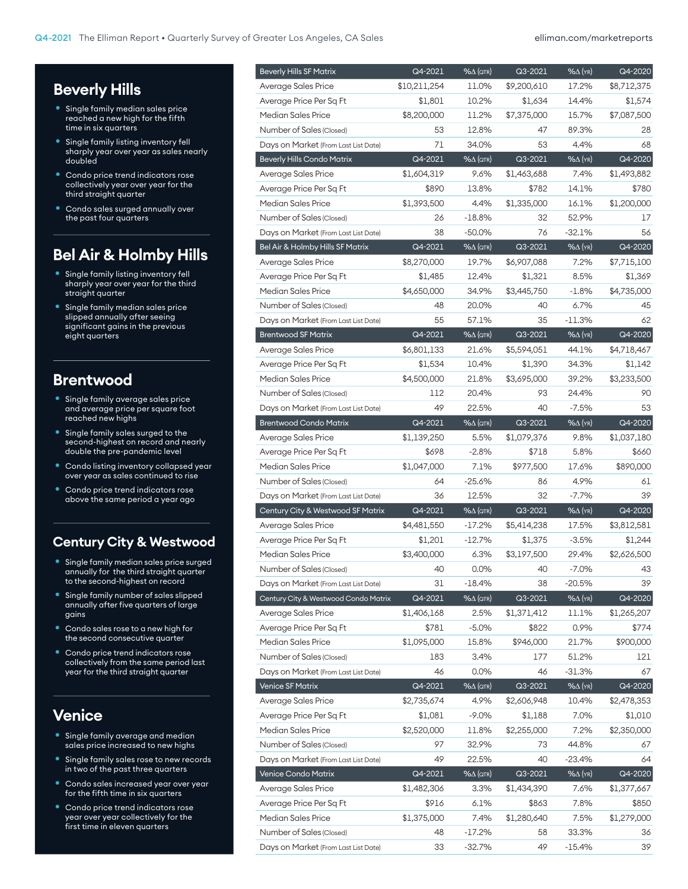# **Beverly Hills**

- Single family median sales price reached a new high for the fifth time in six quarters
- Single family listing inventory fell sharply year over year as sales nearly doubled
- Condo price trend indicators rose collectively year over year for the third straight quarter
- Condo sales surged annually over the past four quarters

# **Bel Air & Holmby Hills**

- Single family listing inventory fell sharply year over year for the third straight quarter
- Single family median sales price slipped annually after seeing significant gains in the previous eight quarters

#### **Brentwood**

- Single family average sales price and average price per square foot reached new highs
- Single family sales surged to the second-highest on record and nearly double the pre-pandemic level
- Condo listing inventory collapsed year over year as sales continued to rise
- Condo price trend indicators rose above the same period a year ago

#### **Century City & Westwood**

- Single family median sales price surged annually for the third straight quarter to the second-highest on record
- Single family number of sales slipped annually after five quarters of large gains
- Condo sales rose to a new high for the second consecutive quarter
- Condo price trend indicators rose collectively from the same period last year for the third straight quarter

# **Venice**

- Single family average and median sales price increased to new highs
- Single family sales rose to new records in two of the past three quarters
- Condo sales increased year over year for the fifth time in six quarters
- Condo price trend indicators rose year over year collectively for the first time in eleven quarters

| <b>Beverly Hills SF Matrix</b>       | $Q4 - 2021$  | $% \triangle (QTR)$          | Q3-2021     | $%$ $\Delta$ (YR)      | Q4-2020     |
|--------------------------------------|--------------|------------------------------|-------------|------------------------|-------------|
| Average Sales Price                  | \$10,211,254 | 11.0%                        | \$9,200,610 | 17.2%                  | \$8,712,375 |
| Average Price Per Sq Ft              | \$1,801      | 10.2%                        | \$1,634     | 14.4%                  | \$1,574     |
| Median Sales Price                   | \$8,200,000  | 11.2%                        | \$7,375,000 | 15.7%                  | \$7,087,500 |
| Number of Sales (Closed)             | 53           | 12.8%                        | 47          | 89.3%                  | 28          |
| Days on Market (From Last List Date) | 71           | 34.0%                        | 53          | 4.4%                   | 68          |
| <b>Beverly Hills Condo Matrix</b>    | Q4-2021      | $% \triangle (QTR)$          | Q3-2021     | $% \Delta$ (YR)        | Q4-2020     |
| Average Sales Price                  | \$1,604,319  | 9.6%                         | \$1,463,688 | 7.4%                   | \$1,493,882 |
| Average Price Per Sq Ft              | \$890        | 13.8%                        | \$782       | 14.1%                  | \$780       |
| Median Sales Price                   | \$1,393,500  | 4.4%                         | \$1,335,000 | 16.1%                  | \$1,200,000 |
| Number of Sales (Closed)             | 26           | $-18.8%$                     | 32          | 52.9%                  | 17          |
| Days on Market (From Last List Date) | 38           | $-50.0%$                     | 76          | $-32.1%$               | 56          |
| Bel Air & Holmby Hills SF Matrix     | Q4-2021      | $% \triangle (QTR)$          | Q3-2021     | $%$ $\Delta$ (YR)      | Q4-2020     |
| Average Sales Price                  | \$8,270,000  | 19.7%                        | \$6,907,088 | 7.2%                   | \$7,715,100 |
| Average Price Per Sq Ft              | \$1,485      | 12.4%                        | \$1,321     | 8.5%                   | \$1,369     |
| Median Sales Price                   | \$4,650,000  | 34.9%                        | \$3,445,750 | $-1.8%$                | \$4,735,000 |
| Number of Sales (Closed)             | 48           | 20.0%                        | 40          | 6.7%                   | 45          |
| Days on Market (From Last List Date) | 55           | 57.1%                        | 35          | $-11.3%$               | 62          |
| <b>Brentwood SF Matrix</b>           | Q4-2021      | $% \triangle (QTR)$          | Q3-2021     | $\sqrt{26\Delta}$ (YR) | Q4-2020     |
| Average Sales Price                  | \$6,801,133  | 21.6%                        | \$5,594,051 | 44.1%                  | \$4,718,467 |
| Average Price Per Sq Ft              | \$1,534      | 10.4%                        | \$1,390     | 34.3%                  | \$1,142     |
| Median Sales Price                   | \$4,500,000  | 21.8%                        | \$3,695,000 | 39.2%                  | \$3,233,500 |
| Number of Sales (Closed)             | 112          | 20.4%                        | 93          | 24.4%                  | 90          |
| Days on Market (From Last List Date) | 49           | 22.5%                        | 40          | $-7.5%$                | 53          |
| <b>Brentwood Condo Matrix</b>        | Q4-2021      | $\sqrt{2\Delta(\text{QTR})}$ | Q3-2021     | $\sqrt{26\Delta}$ (YR) | Q4-2020     |
| Average Sales Price                  | \$1,139,250  | 5.5%                         | \$1,079,376 | 9.8%                   | \$1,037,180 |
| Average Price Per Sq Ft              | \$698        | $-2.8%$                      | \$718       | 5.8%                   | \$660       |
| Median Sales Price                   | \$1,047,000  | 7.1%                         | \$977,500   | 17.6%                  | \$890,000   |
|                                      | 64           | $-25.6%$                     |             | 4.9%                   |             |
| Number of Sales (Closed)             |              |                              | 86          |                        | 61<br>39    |
| Days on Market (From Last List Date) | 36           | 12.5%                        | 32          | $-7.7%$                |             |
| Century City & Westwood SF Matrix    | Q4-2021      | $\frac{96}{4}$ (QTR)         | Q3-2021     | $% \Delta$ (YR)        | Q4-2020     |
| Average Sales Price                  | \$4,481,550  | $-17.2\%$                    | \$5,414,238 | 17.5%                  | \$3,812,581 |
| Average Price Per Sq Ft              | \$1,201      | $-12.7%$                     | \$1,375     | $-3.5%$                | \$1,244     |
| Median Sales Price                   | \$3,400,000  | $6.3\%$                      | \$3,197,500 | 29.4%                  | \$2,626,500 |
| Number of Sales (Closed)             | 40           | 0.0%                         | 40          | $-7.0%$                | 43          |
| Days on Market (From Last List Date) | 31           | $-18.4%$                     | 38          | $-20.5%$               | 39          |
| Century City & Westwood Condo Matrix | Q4-2021      | 96Д (QTR)                    | Q3-2021     | $% \Delta$ (YR)        | Q4-2020     |
| Average Sales Price                  | \$1,406,168  | 2.5%                         | \$1,371,412 | 11.1%                  | \$1,265,207 |
| Average Price Per Sq Ft              | \$781        | $-5.0%$                      | \$822       | 0.9%                   | \$774       |
| Median Sales Price                   | \$1,095,000  | 15.8%                        | \$946,000   | 21.7%                  | \$900,000   |
| Number of Sales (Closed)             | 183          | 3.4%                         | 177         | 51.2%                  | 121         |
| Days on Market (From Last List Date) | 46           | 0.0%                         | 46          | -31.3%                 | 67          |
| <b>Venice SF Matrix</b>              | Q4-2021      | 96Д (QTR)                    | Q3-2021     | $% \Delta$ (YR)        | Q4-2020     |
| Average Sales Price                  | \$2,735,674  | 4.9%                         | \$2,606,948 | 10.4%                  | \$2,478,353 |
| Average Price Per Sq Ft              | \$1,081      | $-9.0\%$                     | \$1,188     | 7.0%                   | \$1,010     |
| Median Sales Price                   | \$2,520,000  | 11.8%                        | \$2,255,000 | 7.2%                   | \$2,350,000 |
| Number of Sales (Closed)             | 97           | 32.9%                        | 73          | 44.8%                  | 67          |
| Days on Market (From Last List Date) | 49           | 22.5%                        | 40          | $-23.4%$               | 64          |
| Venice Condo Matrix                  | Q4-2021      | 96Д (QTR)                    | Q3-2021     | $% \Delta$ (YR)        | Q4-2020     |
| Average Sales Price                  | \$1,482,306  | 3.3%                         | \$1,434,390 | 7.6%                   | \$1,377,667 |
| Average Price Per Sq Ft              | \$916        | 6.1%                         | \$863       | 7.8%                   | \$850       |
| Median Sales Price                   | \$1,375,000  | 7.4%                         | \$1,280,640 | 7.5%                   | \$1,279,000 |
| Number of Sales (Closed)             | 48           | -17.2%                       | 58          | 33.3%                  | 36          |
| Days on Market (From Last List Date) | 33           | -32.7%                       | 49          | -15.4%                 | 39          |